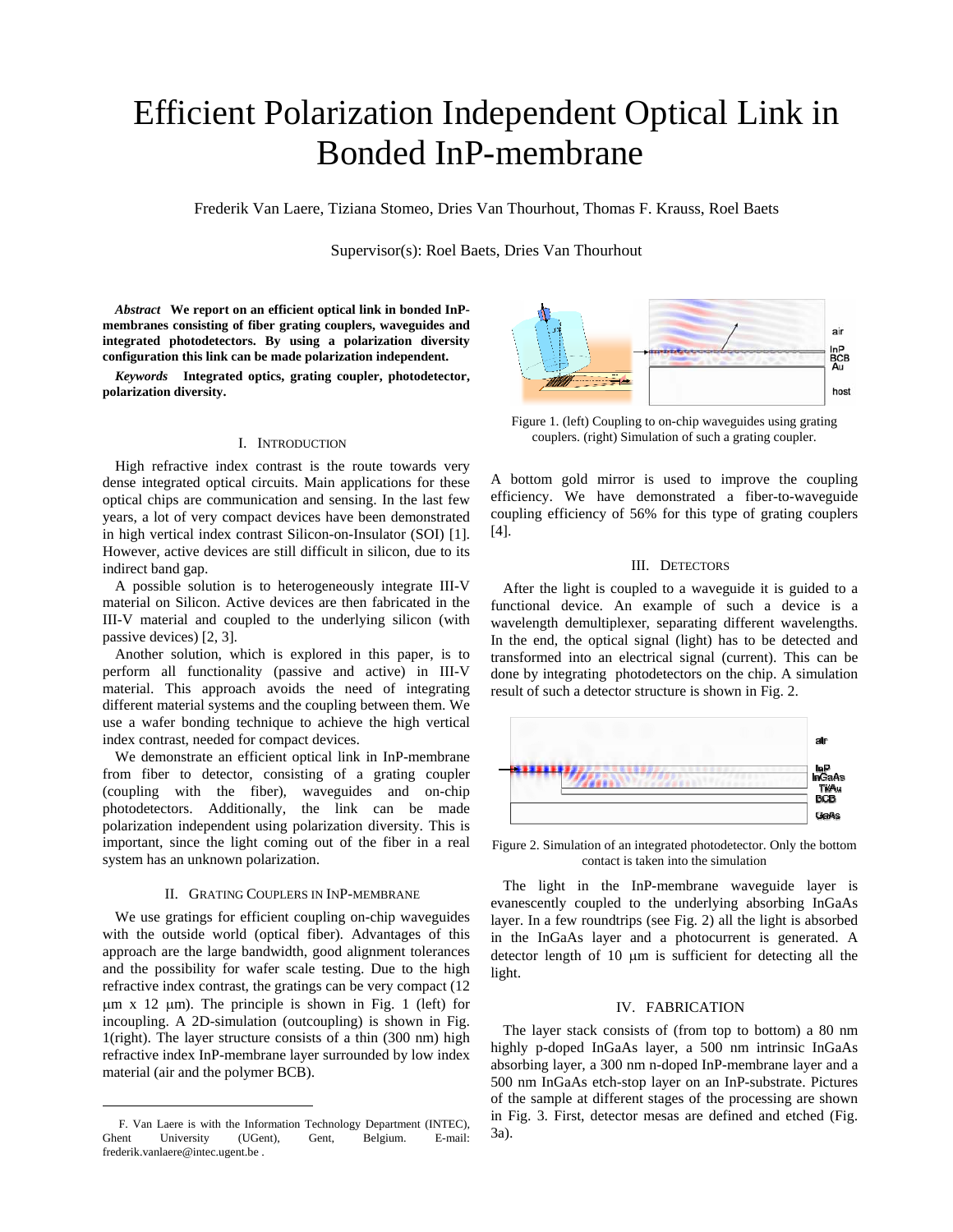# Efficient Polarization Independent Optical Link in Bonded InP-membrane

Frederik Van Laere, Tiziana Stomeo, Dries Van Thourhout, Thomas F. Krauss, Roel Baets

Supervisor(s): Roel Baets, Dries Van Thourhout

*Abstract* **We report on an efficient optical link in bonded InPmembranes consisting of fiber grating couplers, waveguides and integrated photodetectors. By using a polarization diversity configuration this link can be made polarization independent.** 

*Keywords* **Integrated optics, grating coupler, photodetector, polarization diversity.** 

### I. INTRODUCTION

High refractive index contrast is the route towards very dense integrated optical circuits. Main applications for these optical chips are communication and sensing. In the last few years, a lot of very compact devices have been demonstrated in high vertical index contrast Silicon-on-Insulator (SOI) [1]. However, active devices are still difficult in silicon, due to its indirect band gap.

A possible solution is to heterogeneously integrate III-V material on Silicon. Active devices are then fabricated in the III-V material and coupled to the underlying silicon (with passive devices) [2, 3].

Another solution, which is explored in this paper, is to perform all functionality (passive and active) in III-V material. This approach avoids the need of integrating different material systems and the coupling between them. We use a wafer bonding technique to achieve the high vertical index contrast, needed for compact devices.

We demonstrate an efficient optical link in InP-membrane from fiber to detector, consisting of a grating coupler (coupling with the fiber), waveguides and on-chip photodetectors. Additionally, the link can be made polarization independent using polarization diversity. This is important, since the light coming out of the fiber in a real system has an unknown polarization.

#### II. GRATING COUPLERS IN INP-MEMBRANE

We use gratings for efficient coupling on-chip waveguides with the outside world (optical fiber). Advantages of this approach are the large bandwidth, good alignment tolerances and the possibility for wafer scale testing. Due to the high refractive index contrast, the gratings can be very compact (12  $\mu$ m x 12  $\mu$ m). The principle is shown in Fig. 1 (left) for incoupling. A 2D-simulation (outcoupling) is shown in Fig. 1(right). The layer structure consists of a thin (300 nm) high refractive index InP-membrane layer surrounded by low index material (air and the polymer BCB).

1



Figure 1. (left) Coupling to on-chip waveguides using grating couplers. (right) Simulation of such a grating coupler.

A bottom gold mirror is used to improve the coupling efficiency. We have demonstrated a fiber-to-waveguide coupling efficiency of 56% for this type of grating couplers [4].

# III. DETECTORS

After the light is coupled to a waveguide it is guided to a functional device. An example of such a device is a wavelength demultiplexer, separating different wavelengths. In the end, the optical signal (light) has to be detected and transformed into an electrical signal (current). This can be done by integrating photodetectors on the chip. A simulation result of such a detector structure is shown in Fig. 2.



Figure 2. Simulation of an integrated photodetector. Only the bottom contact is taken into the simulation

The light in the InP-membrane waveguide layer is evanescently coupled to the underlying absorbing InGaAs layer. In a few roundtrips (see Fig. 2) all the light is absorbed in the InGaAs layer and a photocurrent is generated. A detector length of 10 µm is sufficient for detecting all the light.

### IV. FABRICATION

The layer stack consists of (from top to bottom) a 80 nm highly p-doped InGaAs layer, a 500 nm intrinsic InGaAs absorbing layer, a 300 nm n-doped InP-membrane layer and a 500 nm InGaAs etch-stop layer on an InP-substrate. Pictures of the sample at different stages of the processing are shown in Fig. 3. First, detector mesas are defined and etched (Fig. 3a).

F. Van Laere is with the Information Technology Department (INTEC), Ghent University (UGent), Gent, Belgium. E-mail: frederik.vanlaere@intec.ugent.be .